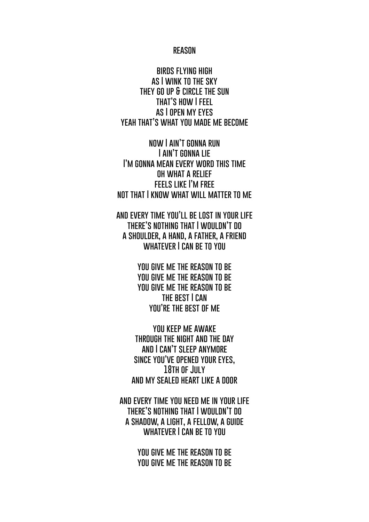## **reason**

**birds flying high as I wink to the sky they go up & circle the sun that's how I feel as I open my eyes yeah that's what you made me become**

**now I ain't gonna run I ain't gonna lie I'm gonna mean every word this time oh what a relief feels like I'm free not that I know what will matter to me**

**and every time you'll be lost in your life there's nothing that I wouldn't do a shoulder, a hand, a father, a friend whatever I can be to you**

> **you give me the reason to be you give me the reason to be you give me the reason to be the best I can you're the best of me**

**you keep me awake through the night and the day and I can't sleep anymore since you've opened your eyes, 18th of July and my sealed heart like a door**

**and every time you need me in your life there's nothing that I wouldn't do a shadow, a light, a fellow, a guide** WHATEVER I CAN BE TO YOU

> **you give me the reason to be you give me the reason to be**